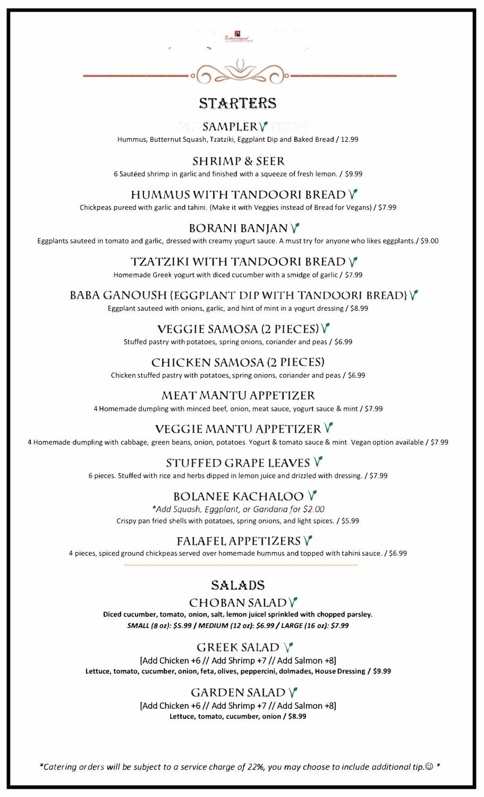

## **STARTERS**

### SAMPLERV

Hummus, Butternut Squash, Tzatziki, Eggplant Dip and Baked Bread / 12.99

#### SHRIMP & SEER

6 Sauteed shrimp in garlic and finished with a squeeze of fresh lemon. / \$9.99

#### HUMMUS WITH TANDOORI BREAD V

Chickpeas pureed with garlic and tahini. (Make it with Veggies instead of Bread for Vegans)/ \$7.99

#### BORAN! BANJANV

Eggplants sauteed in tomato and garlic, dressed with creamy yogurt sauce. A must try for anyone who likes eggplants./ \$9.00

#### TZATZIKI WITH TANDOORI BREAD V

Homemade Greek yogurt with diced cucumber with a smidge of garlic/ \$7.99

#### BABA GANOUSH {EGGPLANT DIP WITH TANDOORI BREAD}V

Eggplant sauteed with onions, garlic, and hint of mint in a yogurt dressing/ \$8.99

#### VEGGIE SAMOSA(2 PIECES)V

Stuffed pastry with potatoes, spring onions, coriander and peas / \$6.99

#### CHICKEN SAMOSA (2 PIECES)

Chicken stuffed pastry with potatoes, spring onions, coriander and peas/ \$6.99

#### MEAT *MANTU* APPETIZER

4 Homemade dumpling with minced beef, onion, meat sauce, yogurt sauce & mint/ \$7.99

[Add Chicken  $+6$  // Add Shrimp  $+7$  // Add Salmon  $+8$ ] **Lettuce, tomato, cucumber, onion / \$8.99** 

## VEGGIE MANTO APPETIZER V

4 Homemade dumpling with cabbage, green beans, onion, potatoes. Yogurt & tomato sauce & mint. Vegan option available/ \$7.99

## STUFFED GRAPE LEAVES V

6 pieces. Stuffed with rice and herbs dipped in lemon juice and drizzled with dressing. / \$7 .99

## BOLANEE KACHALOO V

*\*Add Squash/ Eggplant/ or Gandana for \$2.00* Crispy pan fried shells with potatoes, spring onions, and light spices. / \$5.99

## FALAFEL APPETIZERS V

4 pieces, spiced ground chickpeas served over homemade hummus and topped with tahini sauce./ \$6.99

### **SALADS**  CHOBAN SALADV

**Diced cucumber, tomato, onion, salt, lemon juicel sprinkled with chopped parsley.**  *SMALL (8 oz): \$5.99* / *MEDIUM (12 oz): \$6.99* / *LARGE (16 oz): \$7.99* 

#### GREEK SALAD **V**

[Add Chicken  $+6$  // Add Shrimp  $+7$  // Add Salmon  $+8$ ]

**Lettuce, tomato, cucumber, onion, feta, olives, peppercini, dolmades, House Dressing / \$9.99** 

#### GARDEN SALADV

*\*Catering orders will be subject to a service charge of 22%, you may choose to include additional tip.© \**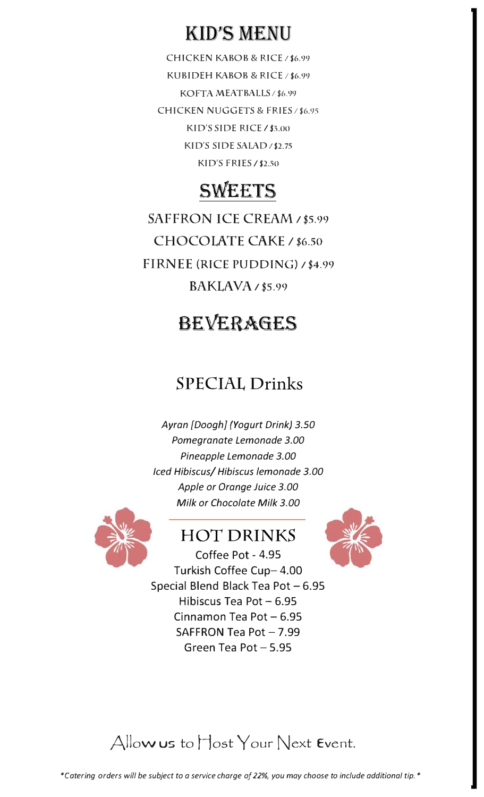## KID'S MENU

CHICKEN KABOB & RICE / \$6.99 KUBIDEH KABOB & RICE *I* \$6.99 KOFTA MEATBALLS / \$6.99 CHICKEN NUGGETS & FRIES / \$6.95 KID'S SIDE RICE/ \$3.00 KID'S SIDE SALAD / \$2.75 KID'S FRIES **/ \$2.50** 

# SWEETS

SAFFRON ICE CREAM / \$5.99 CHOCOLATE CAKE / \$6.50 FIRNEE (RICE PUDDING) *1* \$4.99  $BAKLAVA \; \prime$ \$5.99

## BEVERAGES

Coffee Pot - 4.95 Turkish Coffee Cup-4.00



Special Blend Black Tea Pot - 6.95 Hibiscus Tea Pot  $-6.95$ Cinnamon Tea Pot  $-6.95$ SAFFRON Tea Pot  $-7.99$ Green Tea Pot  $-5.95$ 

## Allow us to Host Your Next Event.

## SPECIAL Drinks

*Ayran [Doogh] (Yogurt Drink) 3.50 Pomegranate Lemonade 3.00 Pineapple Lemonade 3.00 Iced Hibiscus/ Hibiscus lemonade 3.00 Apple or Orange Juice 3.00 Milk or Chocolate Milk 3.00* 



## HOT DRINKS

*\*Catering orders will be subject to a service charge of22%, you may choose to include additional tip.\**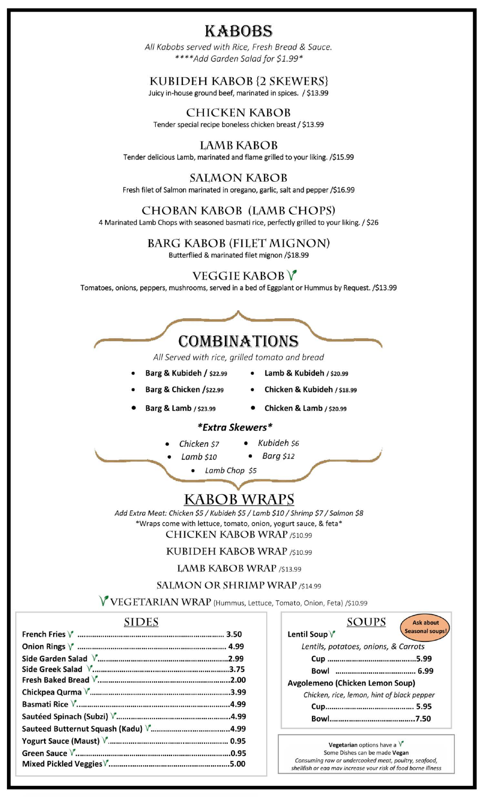## **KABOBS**

All Kabobs served with Rice, Fresh Bread & Sauce. \*\*\*\*Add Garden Salad for \$1.99\*

#### KUBIDEH KABOB {2 SKEWERS}

Juicy in-house ground beef, marinated in spices. / \$13.99

#### **CHICKEN KABOB** Tender special recipe boneless chicken breast / \$13.99

#### **LAMB KABOB**

Tender delicious Lamb, marinated and flame grilled to your liking. /\$15.99

#### **SALMON KABOB**

Fresh filet of Salmon marinated in oregano, garlic, salt and pepper /\$16.99

#### CHOBAN KABOB (LAMB CHOPS)

4 Marinated Lamb Chops with seasoned basmati rice, perfectly grilled to your liking. / \$26

#### **BARG KABOB (FILET MIGNON)**

Butterflied & marinated filet mignon /\$18.99

### **VEGGIE KABOB V**

Tomatoes, onions, peppers, mushrooms, served in a bed of Eggplant or Hummus by Request. /\$13.99



All Served with rice, grilled tomato and bread

- Barg & Kubideh / \$22.99
- Lamb & Kubideh / \$20.99
- Barg & Chicken /\$22.99
- Chicken & Kubideh / \$18.99
- Barg & Lamb / \$23.99
- Chicken & Lamb / \$20.99

#### *\*Extra Skewers\**

- Kubideh \$6 Chicken \$7
	- $Lamb$   $$10$
- Barg \$12
- Lamb Chop \$5

## **KABOB WRAPS**

Add Extra Meat: Chicken \$5 / Kubideh \$5 / Lamb \$10 / Shrimp \$7 / Salmon \$8 \*Wraps come with lettuce, tomato, onion, yogurt sauce, & feta\* **CHICKEN KABOB WRAP /\$10.99** 

KUBIDEH KABOB WRAP /\$10.99

LAMB KABOB WRAP /\$13.99

#### SALMON OR SHRIMP WRAP /\$14.99

V VEGETARIAN WRAP (Hummus, Lettuce, Tomato, Onion, Feta) /\$10.99

#### **SIDES**

| SOUPS                                      | <b>Ask about</b> |
|--------------------------------------------|------------------|
| Lentil Soup V                              | Seasonal soups!  |
| Lentils, potatoes, onions, & Carrots       |                  |
|                                            |                  |
| Bowl                                       |                  |
| Avgolemeno (Chicken Lemon Soup)            |                  |
| Chicken, rice, lemon, hint of black pepper |                  |
|                                            |                  |
|                                            |                  |

Vegetarian options have a  $V$ Some Dishes can be made Vegan Consuming raw or undercooked meat, poultry, seafood, shellfish or eaa may increase your risk of food borne illness